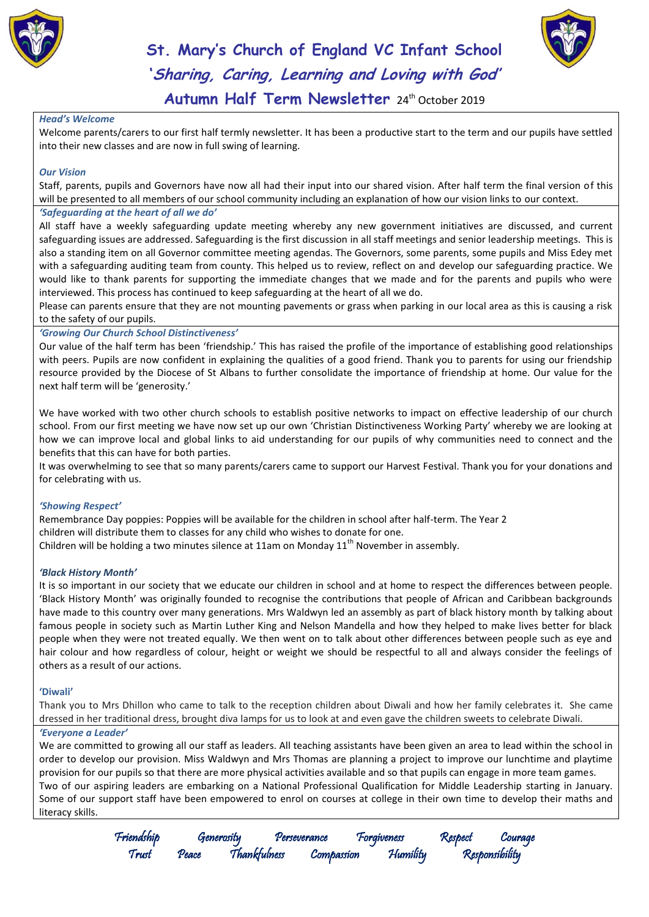



## **St. Mary's Church of England VC Infant School 'Sharing, Caring, Learning and Loving with God'** Autumn Half Term Newsletter 24<sup>th</sup> October 2019

#### *Head's Welcome*

Welcome parents/carers to our first half termly newsletter. It has been a productive start to the term and our pupils have settled into their new classes and are now in full swing of learning.

#### *Our Vision*

Staff, parents, pupils and Governors have now all had their input into our shared vision. After half term the final version of this will be presented to all members of our school community including an explanation of how our vision links to our context.

#### *'Safeguarding at the heart of all we do'*

All staff have a weekly safeguarding update meeting whereby any new government initiatives are discussed, and current safeguarding issues are addressed. Safeguarding is the first discussion in all staff meetings and senior leadership meetings. This is also a standing item on all Governor committee meeting agendas. The Governors, some parents, some pupils and Miss Edey met with a safeguarding auditing team from county. This helped us to review, reflect on and develop our safeguarding practice. We would like to thank parents for supporting the immediate changes that we made and for the parents and pupils who were interviewed. This process has continued to keep safeguarding at the heart of all we do.

Please can parents ensure that they are not mounting pavements or grass when parking in our local area as this is causing a risk to the safety of our pupils.

#### *'Growing Our Church School Distinctiveness'*

Our value of the half term has been 'friendship.' This has raised the profile of the importance of establishing good relationships with peers. Pupils are now confident in explaining the qualities of a good friend. Thank you to parents for using our friendship resource provided by the Diocese of St Albans to further consolidate the importance of friendship at home. Our value for the next half term will be 'generosity.'

We have worked with two other church schools to establish positive networks to impact on effective leadership of our church school. From our first meeting we have now set up our own 'Christian Distinctiveness Working Party' whereby we are looking at how we can improve local and global links to aid understanding for our pupils of why communities need to connect and the benefits that this can have for both parties.

It was overwhelming to see that so many parents/carers came to support our Harvest Festival. Thank you for your donations and for celebrating with us.

#### *'Showing Respect'*

Remembrance Day poppies: Poppies will be available for the children in school after half-term. The Year 2 children will distribute them to classes for any child who wishes to donate for one. Children will be holding a two minutes silence at 11am on Monday  $11<sup>th</sup>$  November in assembly.

#### *'Black History Month'*

It is so important in our society that we educate our children in school and at home to respect the differences between people. 'Black History Month' was originally founded to recognise the contributions that people of African and Caribbean backgrounds have made to this country over many generations. Mrs Waldwyn led an assembly as part of black history month by talking about famous people in society such as Martin Luther King and Nelson Mandella and how they helped to make lives better for black people when they were not treated equally. We then went on to talk about other differences between people such as eye and hair colour and how regardless of colour, height or weight we should be respectful to all and always consider the feelings of others as a result of our actions.

#### **'Diwali'**

Thank you to Mrs Dhillon who came to talk to the reception children about Diwali and how her family celebrates it. She came dressed in her traditional dress, brought diva lamps for us to look at and even gave the children sweets to celebrate Diwali.

*'Everyone a Leader'*

We are committed to growing all our staff as leaders. All teaching assistants have been given an area to lead within the school in order to develop our provision. Miss Waldwyn and Mrs Thomas are planning a project to improve our lunchtime and playtime provision for our pupils so that there are more physical activities available and so that pupils can engage in more team games. Two of our aspiring leaders are embarking on a National Professional Qualification for Middle Leadership starting in January. Some of our support staff have been empowered to enrol on courses at college in their own time to develop their maths and literacy skills.

Friendship Generosity Perseverance Forgiveness Respect Courage

Compassion Humility Responsibility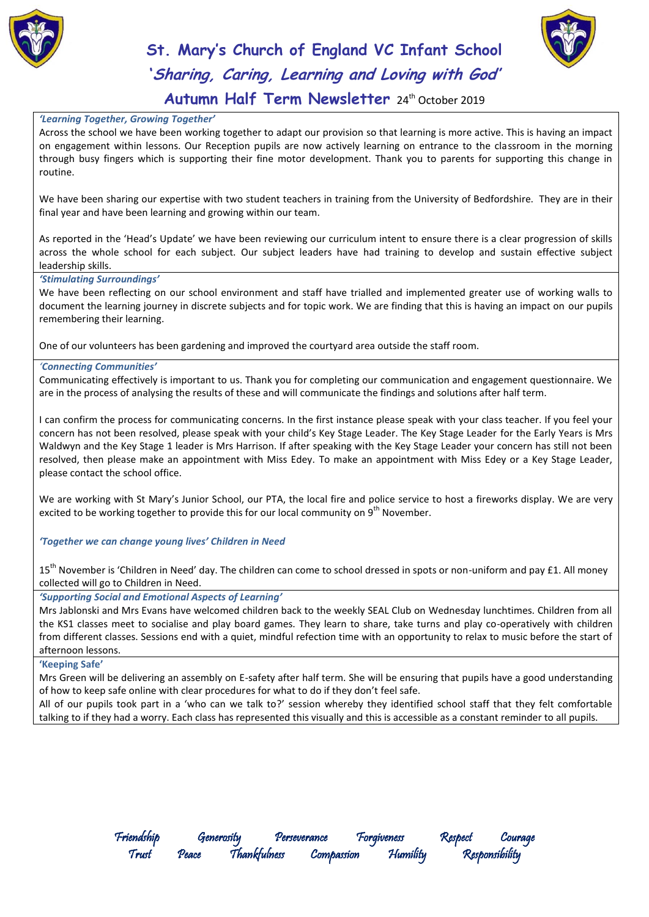



# **St. Mary's Church of England VC Infant School 'Sharing, Caring, Learning and Loving with God'**

### Autumn Half Term Newsletter 24<sup>th</sup> October 2019

#### *'Learning Together, Growing Together'*

Across the school we have been working together to adapt our provision so that learning is more active. This is having an impact on engagement within lessons. Our Reception pupils are now actively learning on entrance to the classroom in the morning through busy fingers which is supporting their fine motor development. Thank you to parents for supporting this change in routine.

We have been sharing our expertise with two student teachers in training from the University of Bedfordshire. They are in their final year and have been learning and growing within our team.

As reported in the 'Head's Update' we have been reviewing our curriculum intent to ensure there is a clear progression of skills across the whole school for each subject. Our subject leaders have had training to develop and sustain effective subject leadership skills.

#### *'Stimulating Surroundings'*

We have been reflecting on our school environment and staff have trialled and implemented greater use of working walls to document the learning journey in discrete subjects and for topic work. We are finding that this is having an impact on our pupils remembering their learning.

One of our volunteers has been gardening and improved the courtyard area outside the staff room.

#### *'Connecting Communities'*

Communicating effectively is important to us. Thank you for completing our communication and engagement questionnaire. We are in the process of analysing the results of these and will communicate the findings and solutions after half term.

I can confirm the process for communicating concerns. In the first instance please speak with your class teacher. If you feel your concern has not been resolved, please speak with your child's Key Stage Leader. The Key Stage Leader for the Early Years is Mrs Waldwyn and the Key Stage 1 leader is Mrs Harrison. If after speaking with the Key Stage Leader your concern has still not been resolved, then please make an appointment with Miss Edey. To make an appointment with Miss Edey or a Key Stage Leader, please contact the school office.

We are working with St Mary's Junior School, our PTA, the local fire and police service to host a fireworks display. We are very excited to be working together to provide this for our local community on  $9<sup>th</sup>$  November.

*'Together we can change young lives' Children in Need*

15<sup>th</sup> November is 'Children in Need' day. The children can come to school dressed in spots or non-uniform and pay £1. All money collected will go to Children in Need.

#### *'Supporting Social and Emotional Aspects of Learning'*

Mrs Jablonski and Mrs Evans have welcomed children back to the weekly SEAL Club on Wednesday lunchtimes. Children from all the KS1 classes meet to socialise and play board games. They learn to share, take turns and play co-operatively with children from different classes. Sessions end with a quiet, mindful refection time with an opportunity to relax to music before the start of afternoon lessons.

#### **'Keeping Safe'**

Mrs Green will be delivering an assembly on E-safety after half term. She will be ensuring that pupils have a good understanding of how to keep safe online with clear procedures for what to do if they don't feel safe.

All of our pupils took part in a 'who can we talk to?' session whereby they identified school staff that they felt comfortable talking to if they had a worry. Each class has represented this visually and this is accessible as a constant reminder to all pupils.

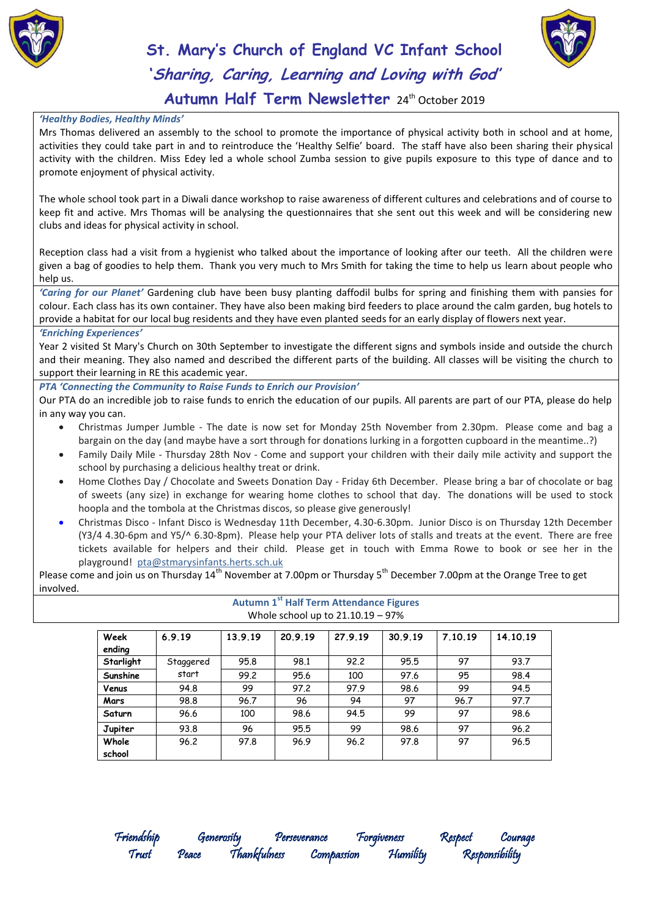



# **St. Mary's Church of England VC Infant School 'Sharing, Caring, Learning and Loving with God'**

### Autumn Half Term Newsletter 24<sup>th</sup> October 2019

#### *'Healthy Bodies, Healthy Minds'*

Mrs Thomas delivered an assembly to the school to promote the importance of physical activity both in school and at home, activities they could take part in and to reintroduce the 'Healthy Selfie' board. The staff have also been sharing their physical activity with the children. Miss Edey led a whole school Zumba session to give pupils exposure to this type of dance and to promote enjoyment of physical activity.

The whole school took part in a Diwali dance workshop to raise awareness of different cultures and celebrations and of course to keep fit and active. Mrs Thomas will be analysing the questionnaires that she sent out this week and will be considering new clubs and ideas for physical activity in school.

Reception class had a visit from a hygienist who talked about the importance of looking after our teeth. All the children were given a bag of goodies to help them. Thank you very much to Mrs Smith for taking the time to help us learn about people who help us.

*'Caring for our Planet'* Gardening club have been busy planting daffodil bulbs for spring and finishing them with pansies for colour. Each class has its own container. They have also been making bird feeders to place around the calm garden, bug hotels to provide a habitat for our local bug residents and they have even planted seeds for an early display of flowers next year.

#### *'Enriching Experiences'*

Year 2 visited St Mary's Church on 30th September to investigate the different signs and symbols inside and outside the church and their meaning. They also named and described the different parts of the building. All classes will be visiting the church to support their learning in RE this academic year.

*PTA 'Connecting the Community to Raise Funds to Enrich our Provision'*

Our PTA do an incredible job to raise funds to enrich the education of our pupils. All parents are part of our PTA, please do help in any way you can.

- Christmas Jumper Jumble The date is now set for Monday 25th November from 2.30pm. Please come and bag a bargain on the day (and maybe have a sort through for donations lurking in a forgotten cupboard in the meantime..?)
- Family Daily Mile Thursday 28th Nov Come and support your children with their daily mile activity and support the school by purchasing a delicious healthy treat or drink.
- Home Clothes Day / Chocolate and Sweets Donation Day Friday 6th December. Please bring a bar of chocolate or bag of sweets (any size) in exchange for wearing home clothes to school that day. The donations will be used to stock hoopla and the tombola at the Christmas discos, so please give generously!
- Christmas Disco Infant Disco is Wednesday 11th December, 4.30-6.30pm. Junior Disco is on Thursday 12th December (Y3/4 4.30-6pm and Y5/^ 6.30-8pm). Please help your PTA deliver lots of stalls and treats at the event. There are free tickets available for helpers and their child. Please get in touch with Emma Rowe to book or see her in the playground! [pta@stmarysinfants.herts.sch.uk](mailto:pta@stmarysinfants.herts.sch.uk)

Please come and join us on Thursday 14<sup>th</sup> November at 7.00pm or Thursday 5<sup>th</sup> December 7.00pm at the Orange Tree to get involved.

**Autumn 1st Half Term Attendance Figures**

| Whole school up to $21.10.19 - 97\%$ |           |         |         |         |         |         |          |  |
|--------------------------------------|-----------|---------|---------|---------|---------|---------|----------|--|
| Week<br>ending                       | 6.9.19    | 13.9.19 | 20.9.19 | 27.9.19 | 30.9.19 | 7.10.19 | 14.10.19 |  |
| Starlight                            | Staggered | 95.8    | 98.1    | 92.2    | 95.5    | 97      | 93.7     |  |
| Sunshine                             | start     | 99.2    | 95.6    | 100     | 97.6    | 95      | 98.4     |  |
| Venus                                | 94.8      | 99      | 97.2    | 97.9    | 98.6    | 99      | 94.5     |  |
| Mars                                 | 98.8      | 96.7    | 96      | 94      | 97      | 96.7    | 97.7     |  |
| Saturn                               | 96.6      | 100     | 98.6    | 94.5    | 99      | 97      | 98.6     |  |
| Jupiter                              | 93.8      | 96      | 95.5    | 99      | 98.6    | 97      | 96.2     |  |
| Whole                                | 96.2      | 97.8    | 96.9    | 96.2    | 97.8    | 97      | 96.5     |  |
| school                               |           |         |         |         |         |         |          |  |

Compassion Humility Responsibility

Friendship Generosity Perseverance Forgiveness Respect Courage